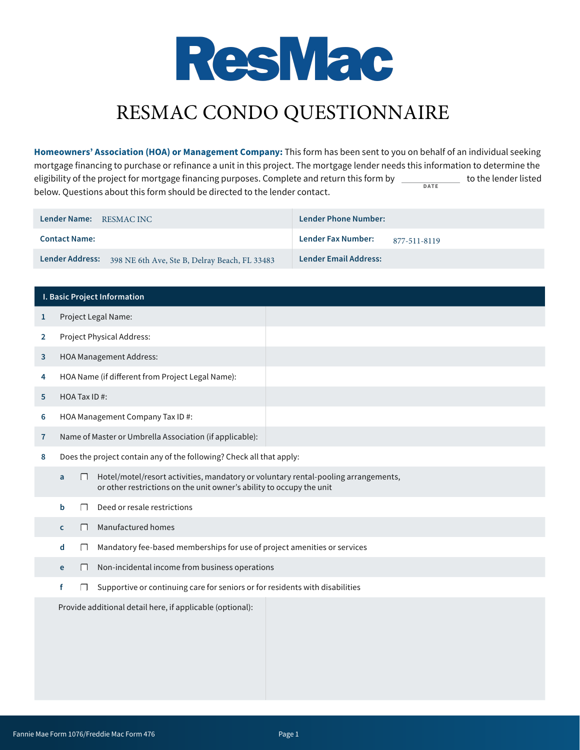

# RESMAC CONDO QUESTIONNAIRE

**Homeowners' Association (HOA) or Management Company:** This form has been sent to you on behalf of an individual seeking mortgage financing to purchase or refinance a unit in this project. The mortgage lender needs this information to determine the eligibility of the project for mortgage financing purposes. Complete and return this form by \_ eligibility of the project for mortgage financing purposes. Complete and return this form by  $\Box$ below. Questions about this form should be directed to the lender contact.

| Lender Name: RESMAC INC                                       | Lender Phone Number:               |
|---------------------------------------------------------------|------------------------------------|
| <b>Contact Name:</b>                                          | Lender Fax Number:<br>877-511-8119 |
| Lender Address: 398 NE 6th Ave, Ste B, Delray Beach, FL 33483 | <b>Lender Email Address:</b>       |

|              | <b>I. Basic Project Information</b>                                                                                                                                  |  |
|--------------|----------------------------------------------------------------------------------------------------------------------------------------------------------------------|--|
| $\mathbf{1}$ | Project Legal Name:                                                                                                                                                  |  |
| 2            | Project Physical Address:                                                                                                                                            |  |
| 3            | <b>HOA Management Address:</b>                                                                                                                                       |  |
| 4            | HOA Name (if different from Project Legal Name):                                                                                                                     |  |
| 5            | HOA Tax ID#:                                                                                                                                                         |  |
| 6            | HOA Management Company Tax ID #:                                                                                                                                     |  |
| $\mathbf{7}$ | Name of Master or Umbrella Association (if applicable):                                                                                                              |  |
| 8            | Does the project contain any of the following? Check all that apply:                                                                                                 |  |
|              | Hotel/motel/resort activities, mandatory or voluntary rental-pooling arrangements,<br>П<br>a<br>or other restrictions on the unit owner's ability to occupy the unit |  |
|              | Deed or resale restrictions<br>b                                                                                                                                     |  |
|              | Manufactured homes<br>П<br>C.                                                                                                                                        |  |
|              | Mandatory fee-based memberships for use of project amenities or services<br>d<br>$\Box$                                                                              |  |
|              | Non-incidental income from business operations<br>$\Box$<br>e                                                                                                        |  |
|              | Supportive or continuing care for seniors or for residents with disabilities<br>f                                                                                    |  |
|              | Provide additional detail here, if applicable (optional):                                                                                                            |  |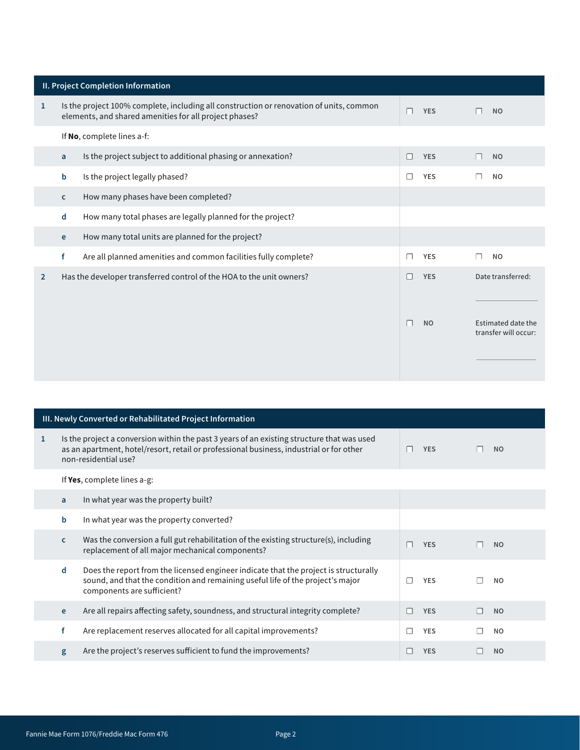|                | II. Project Completion Information |                                                                                                                                                   |   |            |        |                                            |
|----------------|------------------------------------|---------------------------------------------------------------------------------------------------------------------------------------------------|---|------------|--------|--------------------------------------------|
| 1              |                                    | Is the project 100% complete, including all construction or renovation of units, common<br>elements, and shared amenities for all project phases? | П | <b>YES</b> | $\Box$ | <b>NO</b>                                  |
|                |                                    | If No, complete lines a-f:                                                                                                                        |   |            |        |                                            |
|                | a                                  | Is the project subject to additional phasing or annexation?                                                                                       | П | <b>YES</b> | $\Box$ | <b>NO</b>                                  |
|                | b                                  | Is the project legally phased?                                                                                                                    | П | <b>YES</b> | $\Box$ | <b>NO</b>                                  |
|                | $\mathsf{C}$                       | How many phases have been completed?                                                                                                              |   |            |        |                                            |
|                | d                                  | How many total phases are legally planned for the project?                                                                                        |   |            |        |                                            |
|                | e                                  | How many total units are planned for the project?                                                                                                 |   |            |        |                                            |
|                | f                                  | Are all planned amenities and common facilities fully complete?                                                                                   | П | <b>YES</b> | ┌      | <b>NO</b>                                  |
| $\overline{2}$ |                                    | Has the developer transferred control of the HOA to the unit owners?                                                                              |   | <b>YES</b> |        | Date transferred:                          |
|                |                                    |                                                                                                                                                   |   |            |        |                                            |
|                |                                    |                                                                                                                                                   |   | <b>NO</b>  |        | Estimated date the<br>transfer will occur: |
|                |                                    |                                                                                                                                                   |   |            |        |                                            |

|              | III. Newly Converted or Rehabilitated Project Information |                                                                                                                                                                                                               |              |            |  |           |
|--------------|-----------------------------------------------------------|---------------------------------------------------------------------------------------------------------------------------------------------------------------------------------------------------------------|--------------|------------|--|-----------|
| $\mathbf{1}$ |                                                           | Is the project a conversion within the past 3 years of an existing structure that was used<br>as an apartment, hotel/resort, retail or professional business, industrial or for other<br>non-residential use? | $\mathbf{I}$ | <b>YES</b> |  | <b>NO</b> |
|              |                                                           | If Yes, complete lines $a-g$ :                                                                                                                                                                                |              |            |  |           |
|              | a                                                         | In what year was the property built?                                                                                                                                                                          |              |            |  |           |
|              | b                                                         | In what year was the property converted?                                                                                                                                                                      |              |            |  |           |
|              | $\mathsf{C}$                                              | Was the conversion a full gut rehabilitation of the existing structure(s), including<br>replacement of all major mechanical components?                                                                       |              | <b>YES</b> |  | <b>NO</b> |
|              | d                                                         | Does the report from the licensed engineer indicate that the project is structurally<br>sound, and that the condition and remaining useful life of the project's major<br>components are sufficient?          | L            | <b>YES</b> |  | <b>NO</b> |
|              | e                                                         | Are all repairs affecting safety, soundness, and structural integrity complete?                                                                                                                               |              | <b>YES</b> |  | <b>NO</b> |
|              | f                                                         | Are replacement reserves allocated for all capital improvements?                                                                                                                                              |              | <b>YES</b> |  | <b>NO</b> |
|              | g                                                         | Are the project's reserves sufficient to fund the improvements?                                                                                                                                               |              | <b>YES</b> |  | <b>NO</b> |
|              |                                                           |                                                                                                                                                                                                               |              |            |  |           |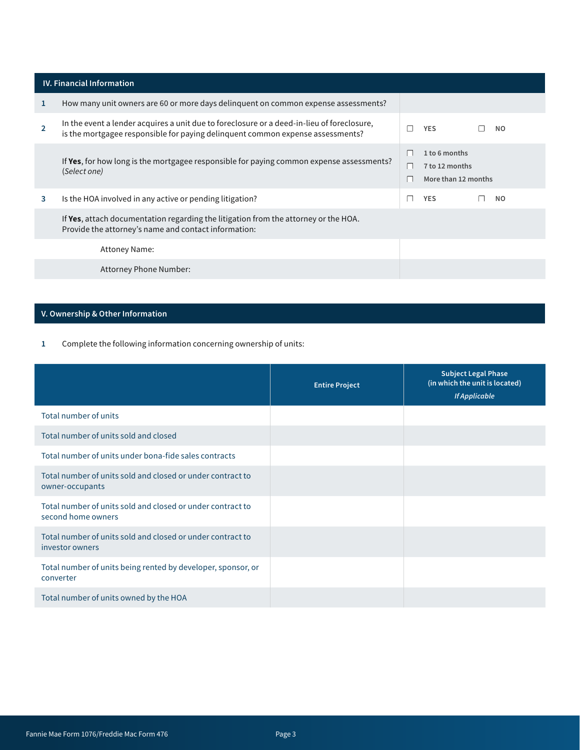|   | <b>IV. Financial Information</b>                                                                                                                                             |      |                                                        |  |                |  |
|---|------------------------------------------------------------------------------------------------------------------------------------------------------------------------------|------|--------------------------------------------------------|--|----------------|--|
| 1 | How many unit owners are 60 or more days delinguent on common expense assessments?                                                                                           |      |                                                        |  |                |  |
|   | In the event a lender acquires a unit due to foreclosure or a deed-in-lieu of foreclosure,<br>is the mortgagee responsible for paying delinquent common expense assessments? |      | <b>YES</b>                                             |  | <b>NO</b>      |  |
|   | If Yes, for how long is the mortgagee responsible for paying common expense assessments?<br>(Select one)                                                                     |      | 1 to 6 months<br>7 to 12 months<br>More than 12 months |  |                |  |
| 3 | Is the HOA involved in any active or pending litigation?                                                                                                                     | a di | <b>YES</b>                                             |  | N <sub>O</sub> |  |
|   | If Yes, attach documentation regarding the litigation from the attorney or the HOA.<br>Provide the attorney's name and contact information:                                  |      |                                                        |  |                |  |
|   | <b>Attoney Name:</b>                                                                                                                                                         |      |                                                        |  |                |  |
|   | Attorney Phone Number:                                                                                                                                                       |      |                                                        |  |                |  |
|   |                                                                                                                                                                              |      |                                                        |  |                |  |

### V. Ownership & Other Information

<sup>1</sup> Complete the following information concerning ownership of units:

|                                                                                  | <b>Entire Project</b> | <b>Subject Legal Phase</b><br>(in which the unit is located)<br><b>If Applicable</b> |
|----------------------------------------------------------------------------------|-----------------------|--------------------------------------------------------------------------------------|
| Total number of units                                                            |                       |                                                                                      |
| Total number of units sold and closed                                            |                       |                                                                                      |
| Total number of units under bona-fide sales contracts                            |                       |                                                                                      |
| Total number of units sold and closed or under contract to<br>owner-occupants    |                       |                                                                                      |
| Total number of units sold and closed or under contract to<br>second home owners |                       |                                                                                      |
| Total number of units sold and closed or under contract to<br>investor owners    |                       |                                                                                      |
| Total number of units being rented by developer, sponsor, or<br>converter        |                       |                                                                                      |
| Total number of units owned by the HOA                                           |                       |                                                                                      |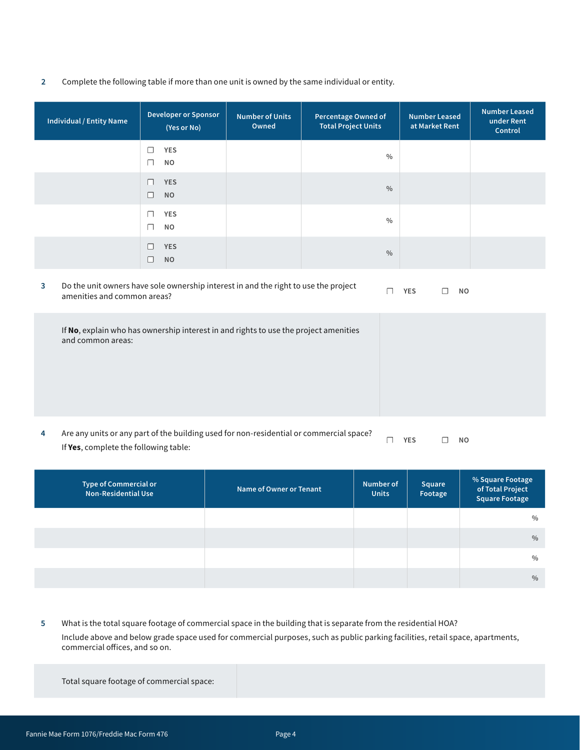2 Complete the following table if more than one unit is owned by the same individual or entity.

| <b>Individual / Entity Name</b>                                                                           | <b>Developer or Sponsor</b><br>(Yes or No)                                                                         |  | <b>Number of Units</b><br>Owned | <b>Percentage Owned of</b><br><b>Total Project Units</b> | <b>Number Leased</b><br>at Market Rent | <b>Number Leased</b><br>under Rent<br>Control |
|-----------------------------------------------------------------------------------------------------------|--------------------------------------------------------------------------------------------------------------------|--|---------------------------------|----------------------------------------------------------|----------------------------------------|-----------------------------------------------|
|                                                                                                           | $\Box$<br><b>YES</b><br><b>NO</b><br>$\Box$                                                                        |  |                                 | $\frac{0}{0}$                                            |                                        |                                               |
|                                                                                                           | <b>YES</b><br>$\Box$<br><b>NO</b><br>$\Box$                                                                        |  |                                 | $\frac{0}{0}$                                            |                                        |                                               |
|                                                                                                           | <b>YES</b><br>$\Box$<br><b>NO</b><br>$\Box$                                                                        |  |                                 | $\frac{0}{0}$                                            |                                        |                                               |
|                                                                                                           | <b>YES</b><br>$\Box$<br><b>NO</b><br>$\Box$                                                                        |  |                                 | $\frac{0}{0}$                                            |                                        |                                               |
| $\overline{\mathbf{3}}$                                                                                   | Do the unit owners have sole ownership interest in and the right to use the project<br>amenities and common areas? |  |                                 | $\Box$                                                   | <b>YES</b><br>П<br><b>NO</b>           |                                               |
| If No, explain who has ownership interest in and rights to use the project amenities<br>and common areas: |                                                                                                                    |  |                                 |                                                          |                                        |                                               |

| Are any units or any part of the building used for non-residential or commercial space? | <b>YES</b> | <b>NO</b> |
|-----------------------------------------------------------------------------------------|------------|-----------|
| If Yes, complete the following table:                                                   |            |           |

| Type of Commercial or<br><b>Non-Residential Use</b> | Name of Owner or Tenant | Number of<br><b>Units</b> | Square<br>Footage | % Square Footage<br>of Total Project<br><b>Square Footage</b> |
|-----------------------------------------------------|-------------------------|---------------------------|-------------------|---------------------------------------------------------------|
|                                                     |                         |                           |                   | $\frac{0}{0}$                                                 |
|                                                     |                         |                           |                   | $\frac{0}{0}$                                                 |
|                                                     |                         |                           |                   | $\frac{0}{0}$                                                 |
|                                                     |                         |                           |                   | $\frac{0}{0}$                                                 |

5 What is the total square footage of commercial space in the building that is separate from the residential HOA? Include above and below grade space used for commercial purposes, such as public parking facilities, retail space, apartments, commercial offices, and so on.

Total square footage of commercial space: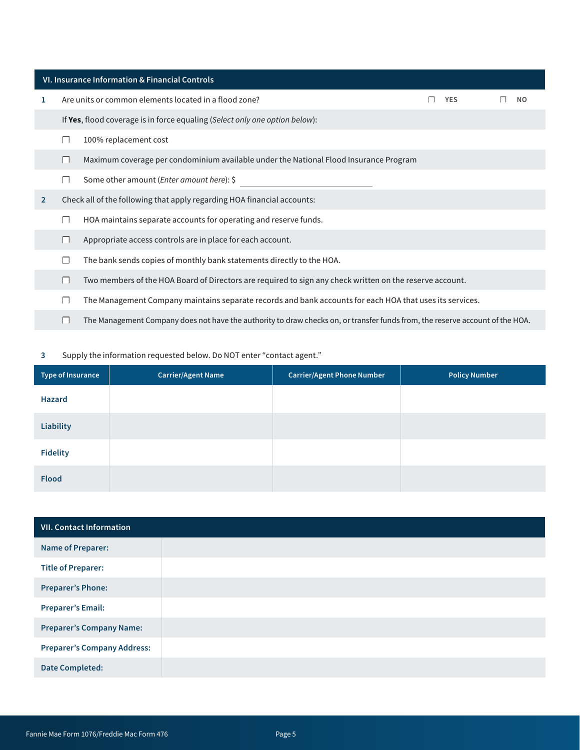|                | VI. Insurance Information & Financial Controls |                                                                                                                               |  |            |  |     |  |
|----------------|------------------------------------------------|-------------------------------------------------------------------------------------------------------------------------------|--|------------|--|-----|--|
| 1              |                                                | Are units or common elements located in a flood zone?                                                                         |  | <b>YES</b> |  | NO. |  |
|                |                                                | If Yes, flood coverage is in force equaling (Select only one option below):                                                   |  |            |  |     |  |
|                |                                                | 100% replacement cost                                                                                                         |  |            |  |     |  |
|                |                                                | Maximum coverage per condominium available under the National Flood Insurance Program                                         |  |            |  |     |  |
|                |                                                | Some other amount (Enter amount here): \$                                                                                     |  |            |  |     |  |
| $\overline{2}$ |                                                | Check all of the following that apply regarding HOA financial accounts:                                                       |  |            |  |     |  |
|                |                                                | HOA maintains separate accounts for operating and reserve funds.                                                              |  |            |  |     |  |
|                |                                                | Appropriate access controls are in place for each account.                                                                    |  |            |  |     |  |
|                |                                                | The bank sends copies of monthly bank statements directly to the HOA.                                                         |  |            |  |     |  |
|                |                                                | Two members of the HOA Board of Directors are required to sign any check written on the reserve account.                      |  |            |  |     |  |
|                |                                                | The Management Company maintains separate records and bank accounts for each HOA that uses its services.                      |  |            |  |     |  |
|                |                                                | The Management Company does not have the authority to draw checks on, or transfer funds from, the reserve account of the HOA. |  |            |  |     |  |

#### 3 Supply the information requested below. Do NOT enter "contact agent."

| Type of Insurance | <b>Carrier/Agent Name</b> | <b>Carrier/Agent Phone Number</b> | <b>Policy Number</b> |
|-------------------|---------------------------|-----------------------------------|----------------------|
| Hazard            |                           |                                   |                      |
| <b>Liability</b>  |                           |                                   |                      |
| <b>Fidelity</b>   |                           |                                   |                      |
| <b>Flood</b>      |                           |                                   |                      |

| <b>VII. Contact Information</b>    |  |
|------------------------------------|--|
| <b>Name of Preparer:</b>           |  |
| <b>Title of Preparer:</b>          |  |
| <b>Preparer's Phone:</b>           |  |
| <b>Preparer's Email:</b>           |  |
| <b>Preparer's Company Name:</b>    |  |
| <b>Preparer's Company Address:</b> |  |
| Date Completed:                    |  |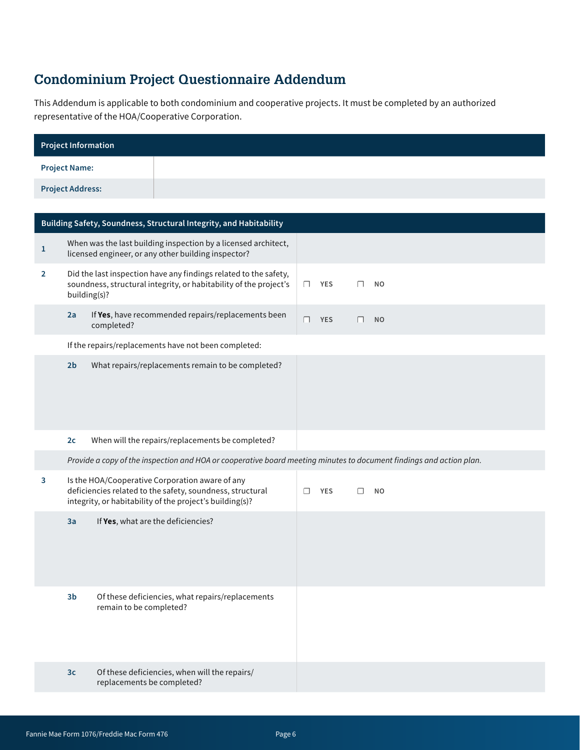## **Condominium Project Questionnaire Addendum**

This Addendum is applicable to both condominium and cooperative projects. It must be completed by an authorized representative of the HOA/Cooperative Corporation.

| Project Information     |  |
|-------------------------|--|
| <b>Project Name:</b>    |  |
| <b>Project Address:</b> |  |

|                | Building Safety, Soundness, Structural Integrity, and Habitability                                                                                                                 |                                                                                                                       |            |            |           |           |
|----------------|------------------------------------------------------------------------------------------------------------------------------------------------------------------------------------|-----------------------------------------------------------------------------------------------------------------------|------------|------------|-----------|-----------|
| $\mathbf{1}$   |                                                                                                                                                                                    | When was the last building inspection by a licensed architect,<br>licensed engineer, or any other building inspector? |            |            |           |           |
| $\overline{2}$ | Did the last inspection have any findings related to the safety,<br>soundness, structural integrity, or habitability of the project's<br>building(s)?                              |                                                                                                                       | $\Box$     | <b>YES</b> | П         | <b>NO</b> |
|                | 2a                                                                                                                                                                                 | If Yes, have recommended repairs/replacements been<br>completed?                                                      | П          | <b>YES</b> | П         | <b>NO</b> |
|                |                                                                                                                                                                                    | If the repairs/replacements have not been completed:                                                                  |            |            |           |           |
|                | 2 <sub>b</sub>                                                                                                                                                                     | What repairs/replacements remain to be completed?                                                                     |            |            |           |           |
|                | 2c                                                                                                                                                                                 | When will the repairs/replacements be completed?                                                                      |            |            |           |           |
|                |                                                                                                                                                                                    | Provide a copy of the inspection and HOA or cooperative board meeting minutes to document findings and action plan.   |            |            |           |           |
| 3              | Is the HOA/Cooperative Corporation aware of any<br>deficiencies related to the safety, soundness, structural<br>$\Box$<br>integrity, or habitability of the project's building(s)? |                                                                                                                       | <b>YES</b> | П          | <b>NO</b> |           |
|                | 3a                                                                                                                                                                                 | If Yes, what are the deficiencies?                                                                                    |            |            |           |           |
|                | 3 <sub>b</sub>                                                                                                                                                                     | Of these deficiencies, what repairs/replacements<br>remain to be completed?                                           |            |            |           |           |
|                | 3 <sub>c</sub>                                                                                                                                                                     | Of these deficiencies, when will the repairs/<br>replacements be completed?                                           |            |            |           |           |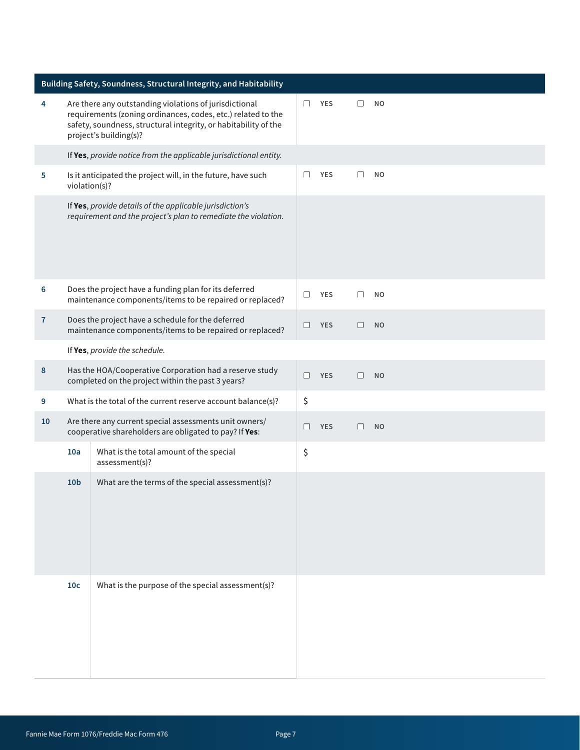| Building Safety, Soundness, Structural Integrity, and Habitability |                                                                                                                            |                                                                                                                                                                                                                     |        |            |              |           |
|--------------------------------------------------------------------|----------------------------------------------------------------------------------------------------------------------------|---------------------------------------------------------------------------------------------------------------------------------------------------------------------------------------------------------------------|--------|------------|--------------|-----------|
| 4                                                                  |                                                                                                                            | Are there any outstanding violations of jurisdictional<br>requirements (zoning ordinances, codes, etc.) related to the<br>safety, soundness, structural integrity, or habitability of the<br>project's building(s)? | $\Box$ | <b>YES</b> | ⊓            | <b>NO</b> |
|                                                                    |                                                                                                                            | If Yes, provide notice from the applicable jurisdictional entity.                                                                                                                                                   |        |            |              |           |
| 5                                                                  | violation(s)?                                                                                                              | Is it anticipated the project will, in the future, have such                                                                                                                                                        | □      | <b>YES</b> | □            | <b>NO</b> |
|                                                                    | If Yes, provide details of the applicable jurisdiction's<br>requirement and the project's plan to remediate the violation. |                                                                                                                                                                                                                     |        |            |              |           |
| 6                                                                  |                                                                                                                            | Does the project have a funding plan for its deferred<br>maintenance components/items to be repaired or replaced?                                                                                                   | П      | <b>YES</b> | П            | <b>NO</b> |
| $\overline{7}$                                                     |                                                                                                                            | Does the project have a schedule for the deferred<br>maintenance components/items to be repaired or replaced?                                                                                                       | □      | <b>YES</b> | П            | <b>NO</b> |
|                                                                    |                                                                                                                            | If Yes, provide the schedule.                                                                                                                                                                                       |        |            |              |           |
| 8                                                                  |                                                                                                                            | Has the HOA/Cooperative Corporation had a reserve study<br>completed on the project within the past 3 years?                                                                                                        | П      | <b>YES</b> | $\perp$      | <b>NO</b> |
| 9                                                                  | What is the total of the current reserve account balance(s)?                                                               |                                                                                                                                                                                                                     | \$     |            |              |           |
| 10                                                                 | Are there any current special assessments unit owners/<br>cooperative shareholders are obligated to pay? If Yes:           |                                                                                                                                                                                                                     | П      | <b>YES</b> | $\mathsf{L}$ | <b>NO</b> |
|                                                                    | 10a                                                                                                                        | What is the total amount of the special<br>assessment(s)?                                                                                                                                                           | \$     |            |              |           |
|                                                                    | 10 <sub>b</sub>                                                                                                            | What are the terms of the special assessment(s)?                                                                                                                                                                    |        |            |              |           |
|                                                                    | 10 <sub>c</sub>                                                                                                            | What is the purpose of the special assessment(s)?                                                                                                                                                                   |        |            |              |           |